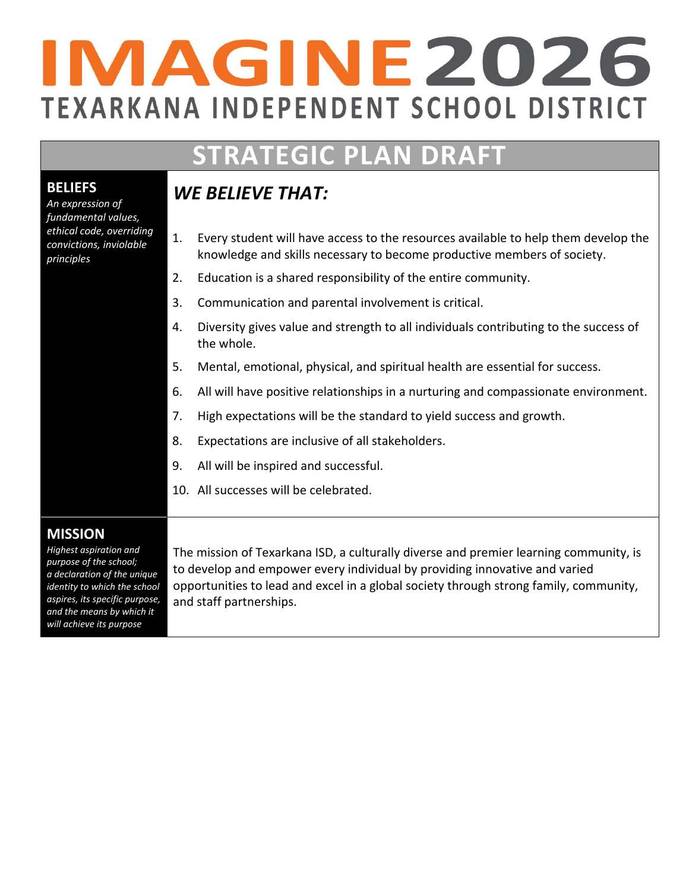# IMAGINE2026 **TEXARKANA INDEPENDENT SCHOOL DISTRICT**

## **STRATEGIC PLAN DRAFT**

## *WE BELIEVE THAT:*

- 1. Every student will have access to the resources available to help them develop the knowledge and skills necessary to become productive members of society.
- 2. Education is a shared responsibility of the entire community.
- 3. Communication and parental involvement is critical.
- 4. Diversity gives value and strength to all individuals contributing to the success of the whole.
- 5. Mental, emotional, physical, and spiritual health are essential for success.
- 6. All will have positive relationships in a nurturing and compassionate environment.
- 7. High expectations will be the standard to yield success and growth.
- 8. Expectations are inclusive of all stakeholders.
- 9. All will be inspired and successful.
- 10. All successes will be celebrated.

#### **MISSION**

*Highest aspiration and purpose of the school; a declaration of the unique identity to which the school aspires, its specific purpose, and the means by which it will achieve its purpose*

The mission of Texarkana ISD, a culturally diverse and premier learning community, is to develop and empower every individual by providing innovative and varied opportunities to lead and excel in a global society through strong family, community, and staff partnerships.

### **BELIEFS**

*An expression of fundamental values, ethical code, overriding convictions, inviolable principles*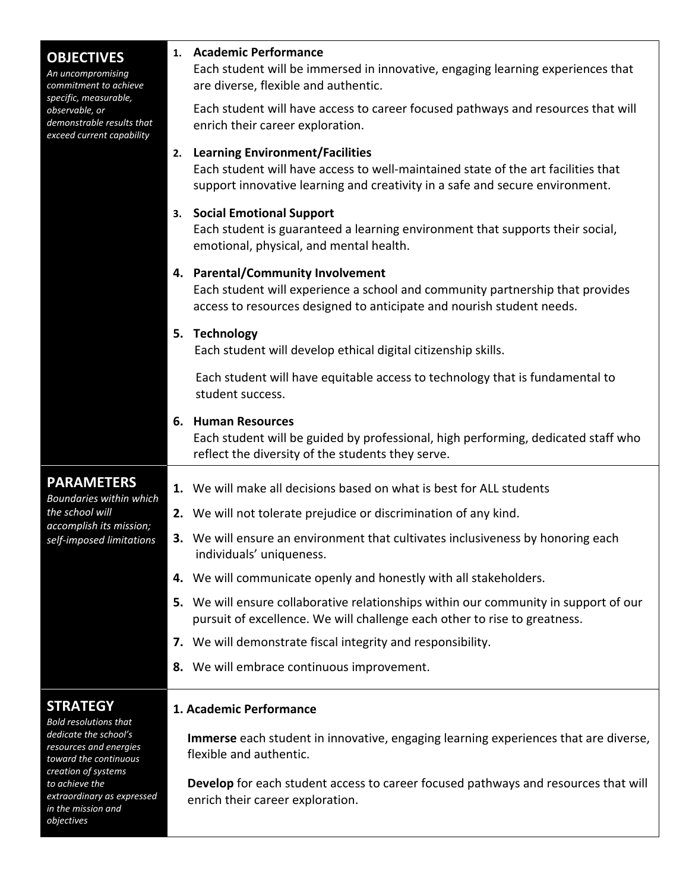| <b>OBJECTIVES</b><br>An uncompromising<br>commitment to achieve                                   | <b>Academic Performance</b><br>1.<br>Each student will be immersed in innovative, engaging learning experiences that<br>are diverse, flexible and authentic.                                                      |  |  |  |  |  |  |
|---------------------------------------------------------------------------------------------------|-------------------------------------------------------------------------------------------------------------------------------------------------------------------------------------------------------------------|--|--|--|--|--|--|
| specific, measurable,<br>observable, or<br>demonstrable results that<br>exceed current capability | Each student will have access to career focused pathways and resources that will<br>enrich their career exploration.                                                                                              |  |  |  |  |  |  |
|                                                                                                   | <b>Learning Environment/Facilities</b><br>2.<br>Each student will have access to well-maintained state of the art facilities that<br>support innovative learning and creativity in a safe and secure environment. |  |  |  |  |  |  |
|                                                                                                   | <b>Social Emotional Support</b><br>3.<br>Each student is guaranteed a learning environment that supports their social,<br>emotional, physical, and mental health.                                                 |  |  |  |  |  |  |
|                                                                                                   | 4. Parental/Community Involvement<br>Each student will experience a school and community partnership that provides<br>access to resources designed to anticipate and nourish student needs.                       |  |  |  |  |  |  |
|                                                                                                   | 5. Technology<br>Each student will develop ethical digital citizenship skills.                                                                                                                                    |  |  |  |  |  |  |
|                                                                                                   | Each student will have equitable access to technology that is fundamental to<br>student success.                                                                                                                  |  |  |  |  |  |  |
|                                                                                                   | 6. Human Resources<br>Each student will be guided by professional, high performing, dedicated staff who<br>reflect the diversity of the students they serve.                                                      |  |  |  |  |  |  |
| <b>PARAMETERS</b>                                                                                 | 1. We will make all decisions based on what is best for ALL students                                                                                                                                              |  |  |  |  |  |  |
| Boundaries within which<br>the school will                                                        | 2. We will not tolerate prejudice or discrimination of any kind.                                                                                                                                                  |  |  |  |  |  |  |
| accomplish its mission;<br>self-imposed limitations                                               | 3. We will ensure an environment that cultivates inclusiveness by honoring each<br>individuals' uniqueness.                                                                                                       |  |  |  |  |  |  |
|                                                                                                   | 4. We will communicate openly and honestly with all stakeholders.                                                                                                                                                 |  |  |  |  |  |  |
|                                                                                                   | 5. We will ensure collaborative relationships within our community in support of our<br>pursuit of excellence. We will challenge each other to rise to greatness.                                                 |  |  |  |  |  |  |
|                                                                                                   | 7. We will demonstrate fiscal integrity and responsibility.                                                                                                                                                       |  |  |  |  |  |  |
|                                                                                                   | 8. We will embrace continuous improvement.                                                                                                                                                                        |  |  |  |  |  |  |
| <b>STRATEGY</b><br><b>Bold resolutions that</b>                                                   | 1. Academic Performance                                                                                                                                                                                           |  |  |  |  |  |  |
| dedicate the school's<br>resources and energies<br>toward the continuous<br>creation of systems   | Immerse each student in innovative, engaging learning experiences that are diverse,<br>flexible and authentic.                                                                                                    |  |  |  |  |  |  |
| to achieve the<br>extraordinary as expressed<br>in the mission and<br>objectives                  | Develop for each student access to career focused pathways and resources that will<br>enrich their career exploration.                                                                                            |  |  |  |  |  |  |